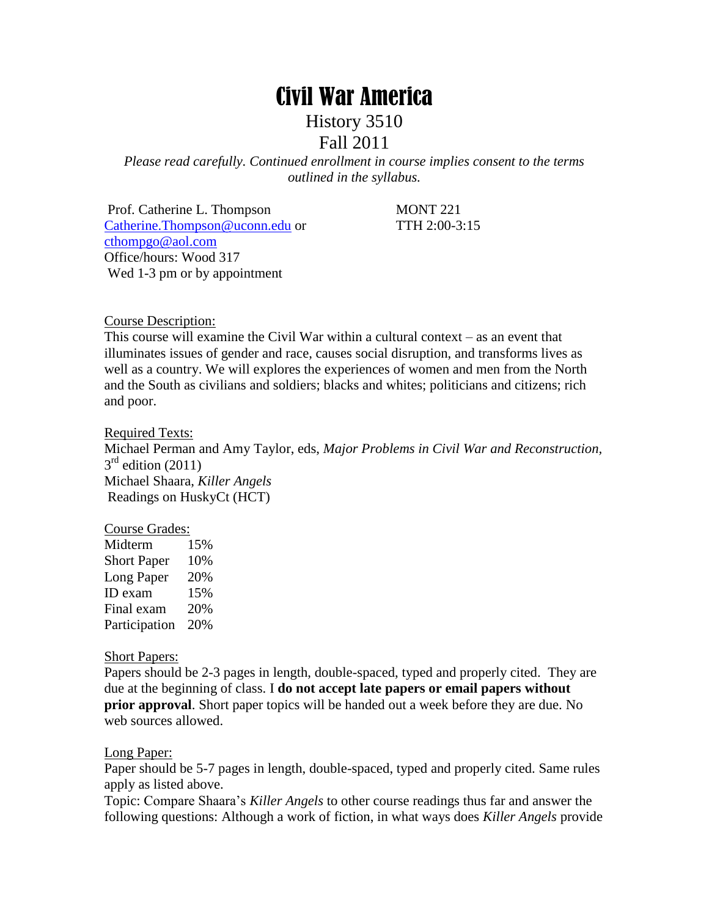# Civil War America

History 3510

## Fall 2011

*Please read carefully. Continued enrollment in course implies consent to the terms outlined in the syllabus.*

Prof. Catherine L. Thompson MONT 221 [Catherine.Thompson@uconn.edu](mailto:Catherine.Thompson@uconn.edu) or TTH 2:00-3:15 [cthompgo@aol.com](mailto:cthompgo@aol.com) Office/hours: Wood 317 Wed 1-3 pm or by appointment

Course Description:

This course will examine the Civil War within a cultural context – as an event that illuminates issues of gender and race, causes social disruption, and transforms lives as well as a country. We will explores the experiences of women and men from the North and the South as civilians and soldiers; blacks and whites; politicians and citizens; rich and poor.

Required Texts:

Michael Perman and Amy Taylor, eds, *Major Problems in Civil War and Reconstruction,*   $3<sup>rd</sup>$  edition (2011) Michael Shaara, *Killer Angels* Readings on HuskyCt (HCT)

#### Course Grades:

| Midterm            | 15% |
|--------------------|-----|
| <b>Short Paper</b> | 10% |
| Long Paper         | 20% |
| ID exam            | 15% |
| Final exam         | 20% |
| Participation      | 20% |

Short Papers:

Papers should be 2-3 pages in length, double-spaced, typed and properly cited. They are due at the beginning of class. I **do not accept late papers or email papers without prior approval**. Short paper topics will be handed out a week before they are due. No web sources allowed.

#### Long Paper:

Paper should be 5-7 pages in length, double-spaced, typed and properly cited. Same rules apply as listed above.

Topic: Compare Shaara's *Killer Angels* to other course readings thus far and answer the following questions: Although a work of fiction, in what ways does *Killer Angels* provide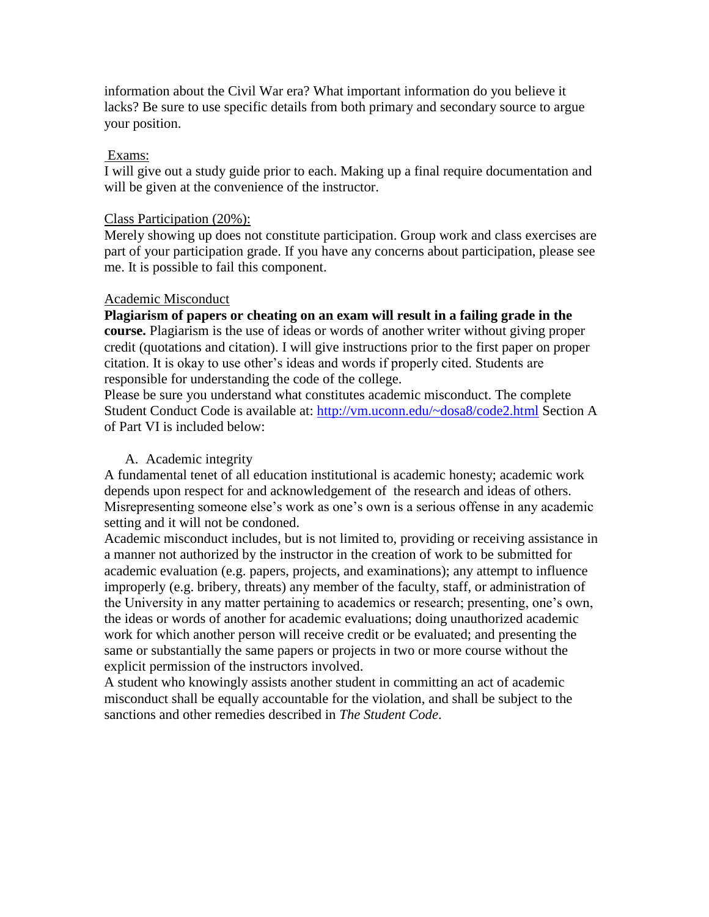information about the Civil War era? What important information do you believe it lacks? Be sure to use specific details from both primary and secondary source to argue your position.

#### Exams:

I will give out a study guide prior to each. Making up a final require documentation and will be given at the convenience of the instructor.

#### Class Participation (20%):

Merely showing up does not constitute participation. Group work and class exercises are part of your participation grade. If you have any concerns about participation, please see me. It is possible to fail this component.

#### Academic Misconduct

**Plagiarism of papers or cheating on an exam will result in a failing grade in the course.** Plagiarism is the use of ideas or words of another writer without giving proper credit (quotations and citation). I will give instructions prior to the first paper on proper citation. It is okay to use other's ideas and words if properly cited. Students are responsible for understanding the code of the college.

Please be sure you understand what constitutes academic misconduct. The complete Student Conduct Code is available at:<http://vm.uconn.edu/~dosa8/code2.html> Section A of Part VI is included below:

#### A. Academic integrity

A fundamental tenet of all education institutional is academic honesty; academic work depends upon respect for and acknowledgement of the research and ideas of others. Misrepresenting someone else's work as one's own is a serious offense in any academic setting and it will not be condoned.

Academic misconduct includes, but is not limited to, providing or receiving assistance in a manner not authorized by the instructor in the creation of work to be submitted for academic evaluation (e.g. papers, projects, and examinations); any attempt to influence improperly (e.g. bribery, threats) any member of the faculty, staff, or administration of the University in any matter pertaining to academics or research; presenting, one's own, the ideas or words of another for academic evaluations; doing unauthorized academic work for which another person will receive credit or be evaluated; and presenting the same or substantially the same papers or projects in two or more course without the explicit permission of the instructors involved.

A student who knowingly assists another student in committing an act of academic misconduct shall be equally accountable for the violation, and shall be subject to the sanctions and other remedies described in *The Student Code*.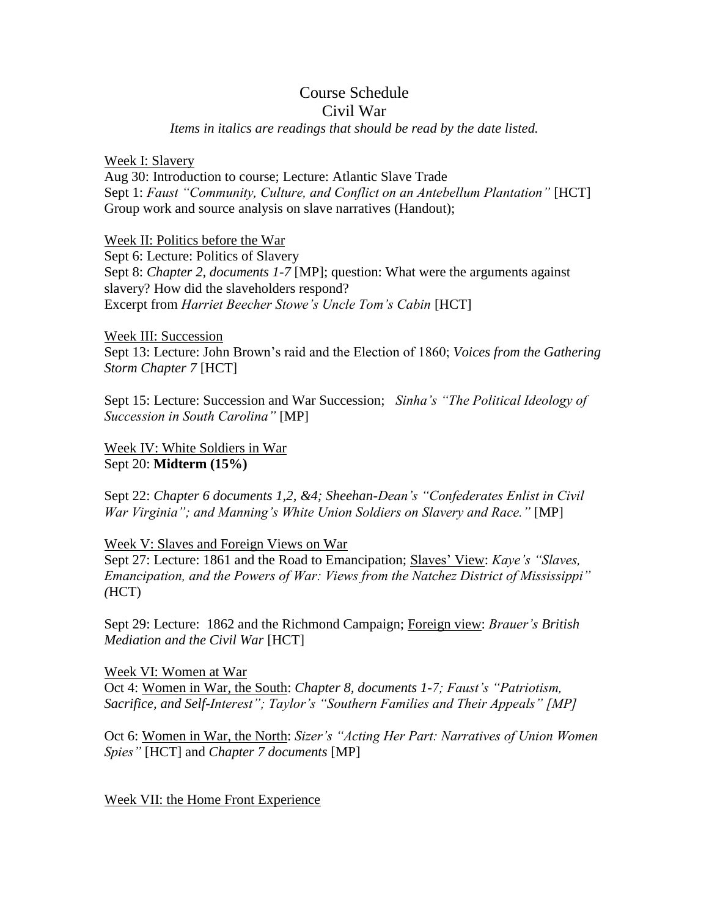#### Course Schedule Civil War

### *Items in italics are readings that should be read by the date listed.*

#### Week I: Slavery

Aug 30: Introduction to course; Lecture: Atlantic Slave Trade Sept 1: *Faust "Community, Culture, and Conflict on an Antebellum Plantation"* [HCT] Group work and source analysis on slave narratives (Handout);

#### Week II: Politics before the War

Sept 6: Lecture: Politics of Slavery Sept 8: *Chapter 2, documents 1-7* [MP]; question: What were the arguments against slavery? How did the slaveholders respond? Excerpt from *Harriet Beecher Stowe's Uncle Tom's Cabin* [HCT]

#### Week III: Succession

Sept 13: Lecture: John Brown's raid and the Election of 1860; *Voices from the Gathering Storm Chapter 7* [HCT]

Sept 15: Lecture: Succession and War Succession; *Sinha's "The Political Ideology of Succession in South Carolina"* [MP]

Week IV: White Soldiers in War Sept 20: **Midterm (15%)**

Sept 22: *Chapter 6 documents 1,2, &4; Sheehan-Dean's "Confederates Enlist in Civil War Virginia"; and Manning's White Union Soldiers on Slavery and Race."* [MP]

#### Week V: Slaves and Foreign Views on War

Sept 27: Lecture: 1861 and the Road to Emancipation; Slaves' View: *Kaye's "Slaves, Emancipation, and the Powers of War: Views from the Natchez District of Mississippi" (*HCT)

Sept 29: Lecture: 1862 and the Richmond Campaign; Foreign view: *Brauer's British Mediation and the Civil War* [HCT]

Week VI: Women at War Oct 4: Women in War, the South: *Chapter 8, documents 1-7; Faust's "Patriotism, Sacrifice, and Self-Interest"; Taylor's "Southern Families and Their Appeals" [MP]*

Oct 6: Women in War, the North: *Sizer's "Acting Her Part: Narratives of Union Women Spies"* [HCT] and *Chapter 7 documents* [MP]

Week VII: the Home Front Experience